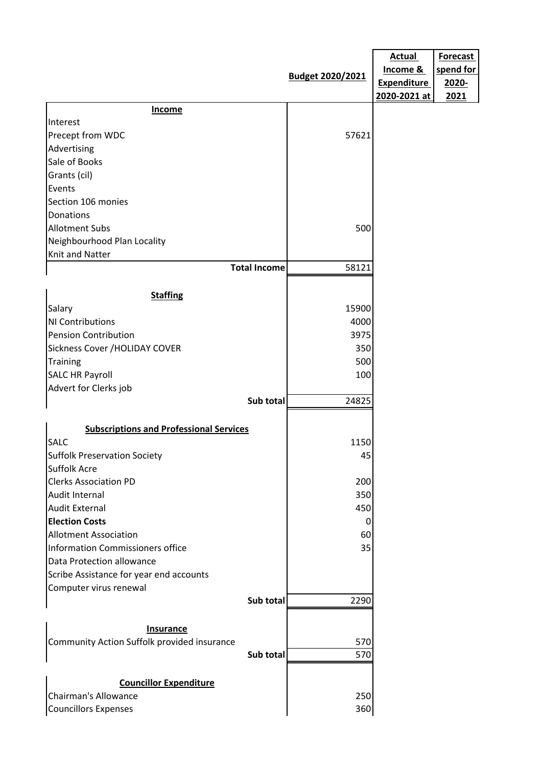|                                                |                  | <b>Actual</b>       | <b>Forecast</b> |
|------------------------------------------------|------------------|---------------------|-----------------|
|                                                |                  | <b>Income &amp;</b> | spend for       |
|                                                | Budget 2020/2021 | <b>Expenditure</b>  | 2020-           |
|                                                |                  | 2020-2021 at        | 2021            |
| <b>Income</b>                                  |                  |                     |                 |
| Interest                                       |                  |                     |                 |
| Precept from WDC                               | 57621            |                     |                 |
| Advertising                                    |                  |                     |                 |
| Sale of Books                                  |                  |                     |                 |
| Grants (cil)                                   |                  |                     |                 |
| Events                                         |                  |                     |                 |
| Section 106 monies                             |                  |                     |                 |
| Donations                                      |                  |                     |                 |
| <b>Allotment Subs</b>                          | 500              |                     |                 |
| Neighbourhood Plan Locality                    |                  |                     |                 |
| Knit and Natter                                |                  |                     |                 |
| <b>Total Income</b>                            | 58121            |                     |                 |
|                                                |                  |                     |                 |
| <b>Staffing</b>                                |                  |                     |                 |
| Salary                                         | 15900            |                     |                 |
| NI Contributions                               | 4000             |                     |                 |
| <b>Pension Contribution</b>                    | 3975             |                     |                 |
| Sickness Cover / HOLIDAY COVER                 | 350              |                     |                 |
| <b>Training</b>                                | 500              |                     |                 |
| <b>SALC HR Payroll</b>                         | 100              |                     |                 |
| Advert for Clerks job                          |                  |                     |                 |
| Sub total                                      | 24825            |                     |                 |
|                                                |                  |                     |                 |
| <b>Subscriptions and Professional Services</b> |                  |                     |                 |
| <b>SALC</b>                                    | 1150             |                     |                 |
| <b>Suffolk Preservation Society</b>            | 45               |                     |                 |
| Suffolk Acre                                   |                  |                     |                 |
| <b>Clerks Association PD</b>                   | 200              |                     |                 |
| Audit Internal                                 | 350              |                     |                 |
| <b>Audit External</b>                          | 450              |                     |                 |
| <b>Election Costs</b>                          | 0                |                     |                 |
| <b>Allotment Association</b>                   | 60               |                     |                 |
| <b>Information Commissioners office</b>        | 35               |                     |                 |
| Data Protection allowance                      |                  |                     |                 |
| Scribe Assistance for year end accounts        |                  |                     |                 |
| Computer virus renewal                         |                  |                     |                 |
| Sub total                                      | 2290             |                     |                 |
|                                                |                  |                     |                 |
| <b>Insurance</b>                               |                  |                     |                 |
| Community Action Suffolk provided insurance    | 570              |                     |                 |
| Sub total                                      | 570              |                     |                 |
|                                                |                  |                     |                 |
| <b>Councillor Expenditure</b>                  |                  |                     |                 |
| <b>Chairman's Allowance</b>                    | 250              |                     |                 |
| <b>Councillors Expenses</b>                    | 360              |                     |                 |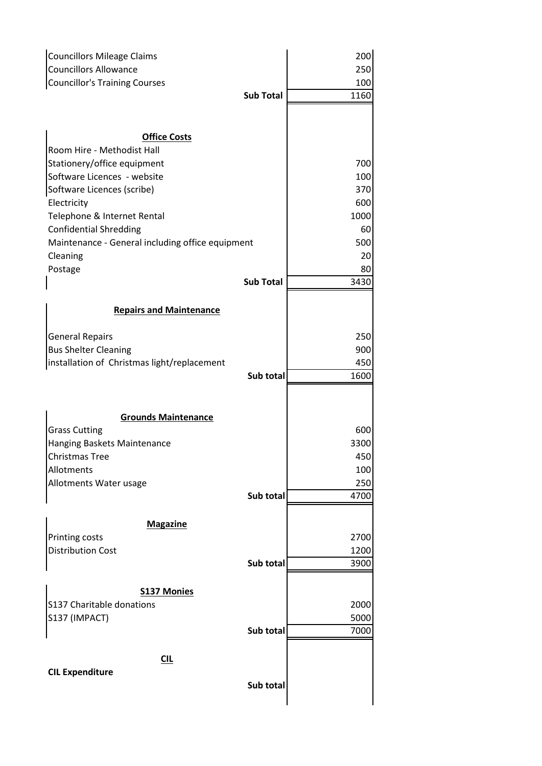| <b>Councillors Mileage Claims</b><br><b>Councillors Allowance</b> |                  | 200<br>250 |
|-------------------------------------------------------------------|------------------|------------|
| <b>Councillor's Training Courses</b>                              |                  | 100        |
|                                                                   | <b>Sub Total</b> | 1160       |
|                                                                   |                  |            |
| <b>Office Costs</b><br>Room Hire - Methodist Hall                 |                  |            |
| Stationery/office equipment                                       |                  | 700        |
| Software Licences - website                                       |                  | 100        |
| Software Licences (scribe)                                        |                  | 370        |
| Electricity                                                       |                  | 600        |
| Telephone & Internet Rental                                       |                  | 1000       |
| <b>Confidential Shredding</b>                                     |                  | 60         |
| Maintenance - General including office equipment                  |                  | 500        |
| Cleaning                                                          |                  | 20         |
| Postage                                                           |                  | 80         |
|                                                                   | <b>Sub Total</b> | 3430       |
|                                                                   |                  |            |
| <b>Repairs and Maintenance</b>                                    |                  |            |
| <b>General Repairs</b>                                            |                  | 250        |
| <b>Bus Shelter Cleaning</b>                                       |                  | 900        |
| installation of Christmas light/replacement                       |                  | 450        |
|                                                                   | Sub total        | 1600       |
|                                                                   |                  |            |
| <b>Grounds Maintenance</b>                                        |                  |            |
| <b>Grass Cutting</b>                                              |                  | 600        |
| Hanging Baskets Maintenance                                       |                  | 3300       |
| Christmas Tree                                                    |                  | 450        |
| Allotments                                                        |                  | 100        |
| Allotments Water usage                                            |                  | 250        |
|                                                                   | Sub total        | 4700       |
| <b>Magazine</b>                                                   |                  |            |
| Printing costs                                                    |                  | 2700       |
| <b>Distribution Cost</b>                                          |                  | 1200       |
|                                                                   | Sub total        | 3900       |
| <b>S137 Monies</b>                                                |                  |            |
| S137 Charitable donations                                         |                  | 2000       |
| S137 (IMPACT)                                                     |                  | 5000       |
|                                                                   | Sub total        | 7000       |
|                                                                   |                  |            |
| CL                                                                |                  |            |
| <b>CIL Expenditure</b>                                            |                  |            |
|                                                                   |                  |            |
|                                                                   | Sub total        |            |